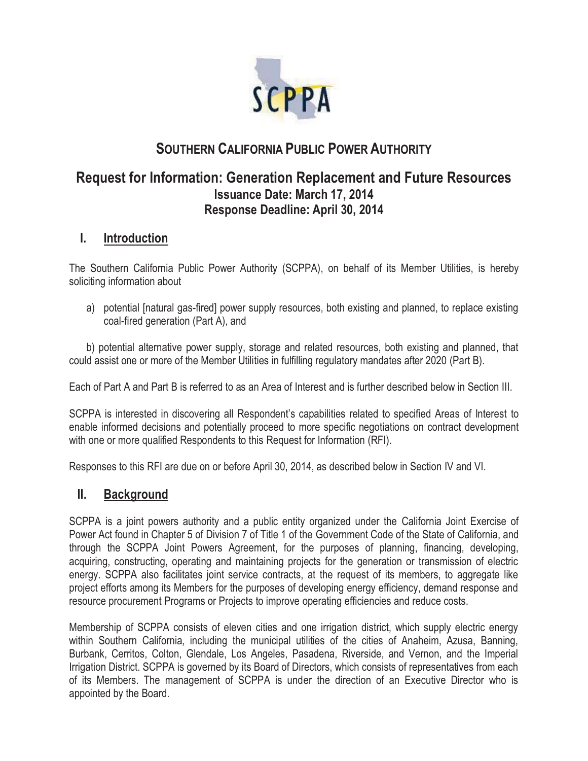

# **SOUTHERN CALIFORNIA PUBLIC POWER AUTHORITY**

## **Request for Information: Generation Replacement and Future Resources Issuance Date: March 17, 2014 Response Deadline: April 30, 2014**

### **I. Introduction**

The Southern California Public Power Authority (SCPPA), on behalf of its Member Utilities, is hereby soliciting information about

a) potential [natural gas-fired] power supply resources, both existing and planned, to replace existing coal-fired generation (Part A), and

 b) potential alternative power supply, storage and related resources, both existing and planned, that could assist one or more of the Member Utilities in fulfilling regulatory mandates after 2020 (Part B).

Each of Part A and Part B is referred to as an Area of Interest and is further described below in Section III.

SCPPA is interested in discovering all Respondent's capabilities related to specified Areas of Interest to enable informed decisions and potentially proceed to more specific negotiations on contract development with one or more qualified Respondents to this Request for Information (RFI).

Responses to this RFI are due on or before April 30, 2014, as described below in Section IV and VI.

## **II. Background**

SCPPA is a joint powers authority and a public entity organized under the California Joint Exercise of Power Act found in Chapter 5 of Division 7 of Title 1 of the Government Code of the State of California, and through the SCPPA Joint Powers Agreement, for the purposes of planning, financing, developing, acquiring, constructing, operating and maintaining projects for the generation or transmission of electric energy. SCPPA also facilitates joint service contracts, at the request of its members, to aggregate like project efforts among its Members for the purposes of developing energy efficiency, demand response and resource procurement Programs or Projects to improve operating efficiencies and reduce costs.

Membership of SCPPA consists of eleven cities and one irrigation district, which supply electric energy within Southern California, including the municipal utilities of the cities of Anaheim, Azusa, Banning, Burbank, Cerritos, Colton, Glendale, Los Angeles, Pasadena, Riverside, and Vernon, and the Imperial Irrigation District. SCPPA is governed by its Board of Directors, which consists of representatives from each of its Members. The management of SCPPA is under the direction of an Executive Director who is appointed by the Board.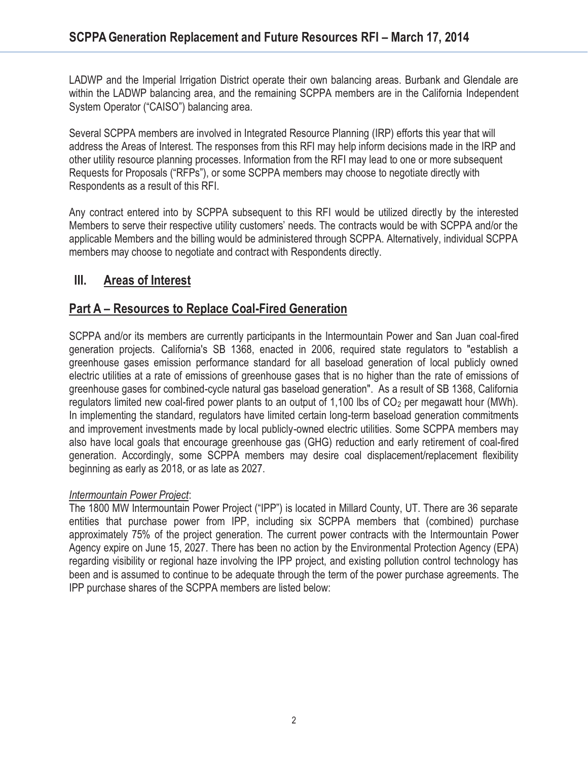LADWP and the Imperial Irrigation District operate their own balancing areas. Burbank and Glendale are within the LADWP balancing area, and the remaining SCPPA members are in the California Independent System Operator ("CAISO") balancing area.

Several SCPPA members are involved in Integrated Resource Planning (IRP) efforts this year that will address the Areas of Interest. The responses from this RFI may help inform decisions made in the IRP and other utility resource planning processes. Information from the RFI may lead to one or more subsequent Requests for Proposals ("RFPs"), or some SCPPA members may choose to negotiate directly with Respondents as a result of this RFI.

Any contract entered into by SCPPA subsequent to this RFI would be utilized directly by the interested Members to serve their respective utility customers' needs. The contracts would be with SCPPA and/or the applicable Members and the billing would be administered through SCPPA. Alternatively, individual SCPPA members may choose to negotiate and contract with Respondents directly.

## **III. Areas of Interest**

### **Part A – Resources to Replace Coal-Fired Generation**

SCPPA and/or its members are currently participants in the Intermountain Power and San Juan coal-fired generation projects. California's SB 1368, enacted in 2006, required state regulators to "establish a greenhouse gases emission performance standard for all baseload generation of local publicly owned electric utilities at a rate of emissions of greenhouse gases that is no higher than the rate of emissions of greenhouse gases for combined-cycle natural gas baseload generation". As a result of SB 1368, California regulators limited new coal-fired power plants to an output of 1,100 lbs of  $CO<sub>2</sub>$  per megawatt hour (MWh). In implementing the standard, regulators have limited certain long-term baseload generation commitments and improvement investments made by local publicly-owned electric utilities. Some SCPPA members may also have local goals that encourage greenhouse gas (GHG) reduction and early retirement of coal-fired generation. Accordingly, some SCPPA members may desire coal displacement/replacement flexibility beginning as early as 2018, or as late as 2027.

#### *Intermountain Power Project*:

The 1800 MW Intermountain Power Project ("IPP") is located in Millard County, UT. There are 36 separate entities that purchase power from IPP, including six SCPPA members that (combined) purchase approximately 75% of the project generation. The current power contracts with the Intermountain Power Agency expire on June 15, 2027. There has been no action by the Environmental Protection Agency (EPA) regarding visibility or regional haze involving the IPP project, and existing pollution control technology has been and is assumed to continue to be adequate through the term of the power purchase agreements. The IPP purchase shares of the SCPPA members are listed below: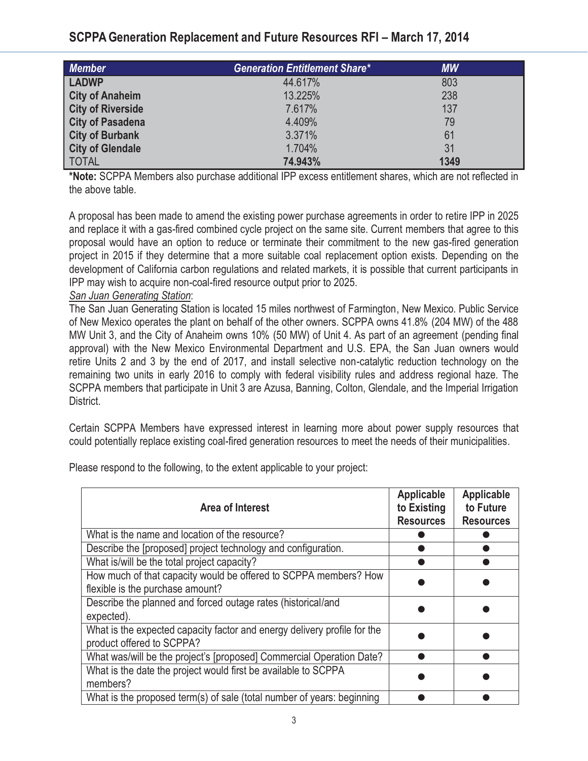## **SCPPAGeneration Replacement and Future Resources RFI – March 17, 2014**

| <b>Member</b>            | <b>Generation Entitlement Share*</b> | <b>MW</b> |  |
|--------------------------|--------------------------------------|-----------|--|
| <b>LADWP</b>             | 44.617%                              | 803       |  |
| <b>City of Anaheim</b>   | 13.225%                              | 238       |  |
| <b>City of Riverside</b> | 7.617%                               | 137       |  |
| <b>City of Pasadena</b>  | 4.409%                               | 79        |  |
| <b>City of Burbank</b>   | 3.371%                               | 61        |  |
| <b>City of Glendale</b>  | 1.704%                               | 31        |  |
| <b>TOTAL</b>             | 74.943%                              | 1349      |  |

**\*Note:** SCPPA Members also purchase additional IPP excess entitlement shares, which are not reflected in the above table.

A proposal has been made to amend the existing power purchase agreements in order to retire IPP in 2025 and replace it with a gas-fired combined cycle project on the same site. Current members that agree to this proposal would have an option to reduce or terminate their commitment to the new gas-fired generation project in 2015 if they determine that a more suitable coal replacement option exists. Depending on the development of California carbon regulations and related markets, it is possible that current participants in IPP may wish to acquire non-coal-fired resource output prior to 2025.

#### *San Juan Generating Station*:

The San Juan Generating Station is located 15 miles northwest of Farmington, New Mexico. Public Service of New Mexico operates the plant on behalf of the other owners. SCPPA owns 41.8% (204 MW) of the 488 MW Unit 3, and the City of Anaheim owns 10% (50 MW) of Unit 4. As part of an agreement (pending final approval) with the New Mexico Environmental Department and U.S. EPA, the San Juan owners would retire Units 2 and 3 by the end of 2017, and install selective non-catalytic reduction technology on the remaining two units in early 2016 to comply with federal visibility rules and address regional haze. The SCPPA members that participate in Unit 3 are Azusa, Banning, Colton, Glendale, and the Imperial Irrigation District.

Certain SCPPA Members have expressed interest in learning more about power supply resources that could potentially replace existing coal-fired generation resources to meet the needs of their municipalities.

| Area of Interest                                                                                      | <b>Applicable</b><br>to Existing<br><b>Resources</b> | <b>Applicable</b><br>to Future<br><b>Resources</b> |
|-------------------------------------------------------------------------------------------------------|------------------------------------------------------|----------------------------------------------------|
| What is the name and location of the resource?                                                        |                                                      |                                                    |
| Describe the [proposed] project technology and configuration.                                         |                                                      |                                                    |
| What is/will be the total project capacity?                                                           |                                                      |                                                    |
| How much of that capacity would be offered to SCPPA members? How<br>flexible is the purchase amount?  |                                                      |                                                    |
| Describe the planned and forced outage rates (historical/and<br>expected).                            |                                                      |                                                    |
| What is the expected capacity factor and energy delivery profile for the<br>product offered to SCPPA? |                                                      |                                                    |
| What was/will be the project's [proposed] Commercial Operation Date?                                  |                                                      |                                                    |
| What is the date the project would first be available to SCPPA<br>members?                            |                                                      |                                                    |
| What is the proposed term(s) of sale (total number of years: beginning                                |                                                      |                                                    |

Please respond to the following, to the extent applicable to your project: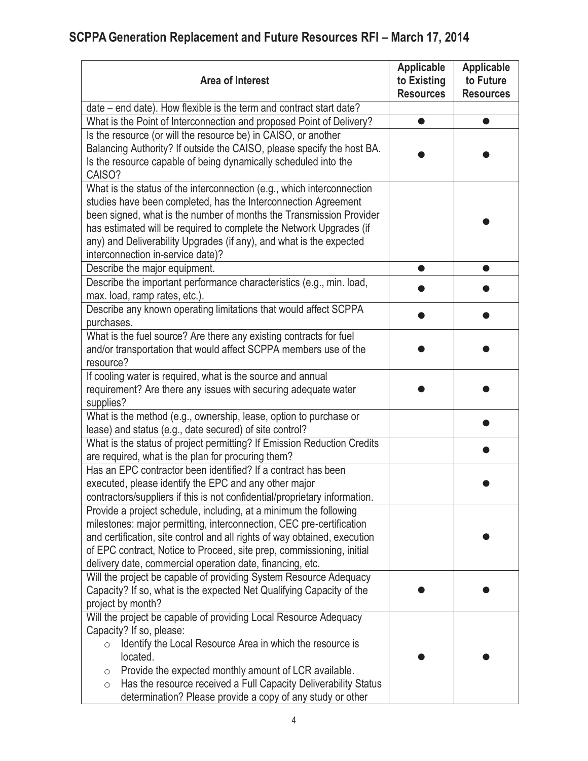| <b>Area of Interest</b>                                                                                                                                                                                                                                                                                                                                                                            | <b>Applicable</b><br>to Existing<br><b>Resources</b> | <b>Applicable</b><br>to Future<br><b>Resources</b> |
|----------------------------------------------------------------------------------------------------------------------------------------------------------------------------------------------------------------------------------------------------------------------------------------------------------------------------------------------------------------------------------------------------|------------------------------------------------------|----------------------------------------------------|
| date – end date). How flexible is the term and contract start date?                                                                                                                                                                                                                                                                                                                                |                                                      |                                                    |
| What is the Point of Interconnection and proposed Point of Delivery?                                                                                                                                                                                                                                                                                                                               |                                                      |                                                    |
| Is the resource (or will the resource be) in CAISO, or another<br>Balancing Authority? If outside the CAISO, please specify the host BA.<br>Is the resource capable of being dynamically scheduled into the<br>CAISO?                                                                                                                                                                              |                                                      |                                                    |
| What is the status of the interconnection (e.g., which interconnection<br>studies have been completed, has the Interconnection Agreement<br>been signed, what is the number of months the Transmission Provider<br>has estimated will be required to complete the Network Upgrades (if<br>any) and Deliverability Upgrades (if any), and what is the expected<br>interconnection in-service date)? |                                                      |                                                    |
| Describe the major equipment.                                                                                                                                                                                                                                                                                                                                                                      | O                                                    | $\bullet$                                          |
| Describe the important performance characteristics (e.g., min. load,<br>max. load, ramp rates, etc.).                                                                                                                                                                                                                                                                                              |                                                      |                                                    |
| Describe any known operating limitations that would affect SCPPA<br>purchases.                                                                                                                                                                                                                                                                                                                     |                                                      |                                                    |
| What is the fuel source? Are there any existing contracts for fuel<br>and/or transportation that would affect SCPPA members use of the<br>resource?                                                                                                                                                                                                                                                |                                                      |                                                    |
| If cooling water is required, what is the source and annual<br>requirement? Are there any issues with securing adequate water<br>supplies?                                                                                                                                                                                                                                                         |                                                      |                                                    |
| What is the method (e.g., ownership, lease, option to purchase or<br>lease) and status (e.g., date secured) of site control?                                                                                                                                                                                                                                                                       |                                                      |                                                    |
| What is the status of project permitting? If Emission Reduction Credits<br>are required, what is the plan for procuring them?                                                                                                                                                                                                                                                                      |                                                      |                                                    |
| Has an EPC contractor been identified? If a contract has been<br>executed, please identify the EPC and any other major<br>contractors/suppliers if this is not confidential/proprietary information.                                                                                                                                                                                               |                                                      |                                                    |
| Provide a project schedule, including, at a minimum the following<br>milestones: major permitting, interconnection, CEC pre-certification<br>and certification, site control and all rights of way obtained, execution<br>of EPC contract, Notice to Proceed, site prep, commissioning, initial<br>delivery date, commercial operation date, financing, etc.                                       |                                                      |                                                    |
| Will the project be capable of providing System Resource Adequacy<br>Capacity? If so, what is the expected Net Qualifying Capacity of the<br>project by month?                                                                                                                                                                                                                                     |                                                      |                                                    |
| Will the project be capable of providing Local Resource Adequacy<br>Capacity? If so, please:<br>Identify the Local Resource Area in which the resource is<br>located.<br>Provide the expected monthly amount of LCR available.<br>O<br>Has the resource received a Full Capacity Deliverability Status<br>$\bigcirc$<br>determination? Please provide a copy of any study or other                 |                                                      |                                                    |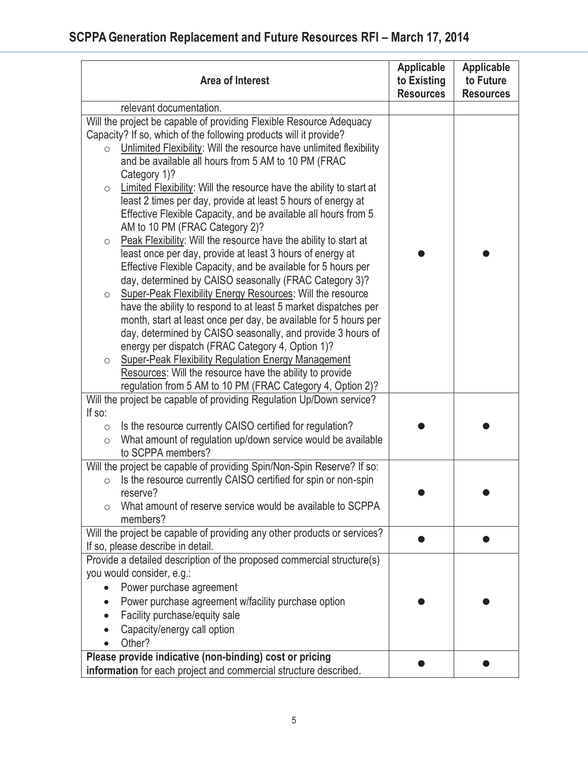| <b>Area of Interest</b>                                                                                                 | <b>Applicable</b><br>to Existing<br><b>Resources</b> | <b>Applicable</b><br>to Future<br><b>Resources</b> |
|-------------------------------------------------------------------------------------------------------------------------|------------------------------------------------------|----------------------------------------------------|
| relevant documentation.                                                                                                 |                                                      |                                                    |
| Will the project be capable of providing Flexible Resource Adequacy                                                     |                                                      |                                                    |
| Capacity? If so, which of the following products will it provide?                                                       |                                                      |                                                    |
| Unlimited Flexibility: Will the resource have unlimited flexibility<br>$\circ$                                          |                                                      |                                                    |
| and be available all hours from 5 AM to 10 PM (FRAC                                                                     |                                                      |                                                    |
| Category 1)?                                                                                                            |                                                      |                                                    |
| Limited Flexibility: Will the resource have the ability to start at<br>$\bigcirc$                                       |                                                      |                                                    |
| least 2 times per day, provide at least 5 hours of energy at                                                            |                                                      |                                                    |
| Effective Flexible Capacity, and be available all hours from 5                                                          |                                                      |                                                    |
| AM to 10 PM (FRAC Category 2)?                                                                                          |                                                      |                                                    |
| Peak Flexibility: Will the resource have the ability to start at<br>$\circlearrowright$                                 |                                                      |                                                    |
| least once per day, provide at least 3 hours of energy at                                                               |                                                      |                                                    |
| Effective Flexible Capacity, and be available for 5 hours per<br>day, determined by CAISO seasonally (FRAC Category 3)? |                                                      |                                                    |
| Super-Peak Flexibility Energy Resources: Will the resource<br>$\circlearrowright$                                       |                                                      |                                                    |
| have the ability to respond to at least 5 market dispatches per                                                         |                                                      |                                                    |
| month, start at least once per day, be available for 5 hours per                                                        |                                                      |                                                    |
| day, determined by CAISO seasonally, and provide 3 hours of                                                             |                                                      |                                                    |
| energy per dispatch (FRAC Category 4, Option 1)?                                                                        |                                                      |                                                    |
| <b>Super-Peak Flexibility Regulation Energy Management</b><br>$\circlearrowright$                                       |                                                      |                                                    |
| Resources: Will the resource have the ability to provide                                                                |                                                      |                                                    |
| regulation from 5 AM to 10 PM (FRAC Category 4, Option 2)?                                                              |                                                      |                                                    |
| Will the project be capable of providing Regulation Up/Down service?                                                    |                                                      |                                                    |
| If so:                                                                                                                  |                                                      |                                                    |
| Is the resource currently CAISO certified for regulation?<br>$\circ$                                                    |                                                      |                                                    |
| What amount of regulation up/down service would be available<br>$\bigcirc$                                              |                                                      |                                                    |
| to SCPPA members?                                                                                                       |                                                      |                                                    |
| Will the project be capable of providing Spin/Non-Spin Reserve? If so:                                                  |                                                      |                                                    |
| Is the resource currently CAISO certified for spin or non-spin<br>$\circ$                                               |                                                      |                                                    |
| reserve?                                                                                                                |                                                      |                                                    |
| What amount of reserve service would be available to SCPPA<br>members?                                                  |                                                      |                                                    |
| Will the project be capable of providing any other products or services?                                                |                                                      |                                                    |
| If so, please describe in detail.                                                                                       |                                                      |                                                    |
| Provide a detailed description of the proposed commercial structure(s)                                                  |                                                      |                                                    |
| you would consider, e.g.:                                                                                               |                                                      |                                                    |
| Power purchase agreement                                                                                                |                                                      |                                                    |
| Power purchase agreement w/facility purchase option                                                                     |                                                      |                                                    |
| Facility purchase/equity sale<br>$\bullet$                                                                              |                                                      |                                                    |
| Capacity/energy call option                                                                                             |                                                      |                                                    |
| Other?                                                                                                                  |                                                      |                                                    |
| Please provide indicative (non-binding) cost or pricing                                                                 |                                                      |                                                    |
| information for each project and commercial structure described.                                                        |                                                      |                                                    |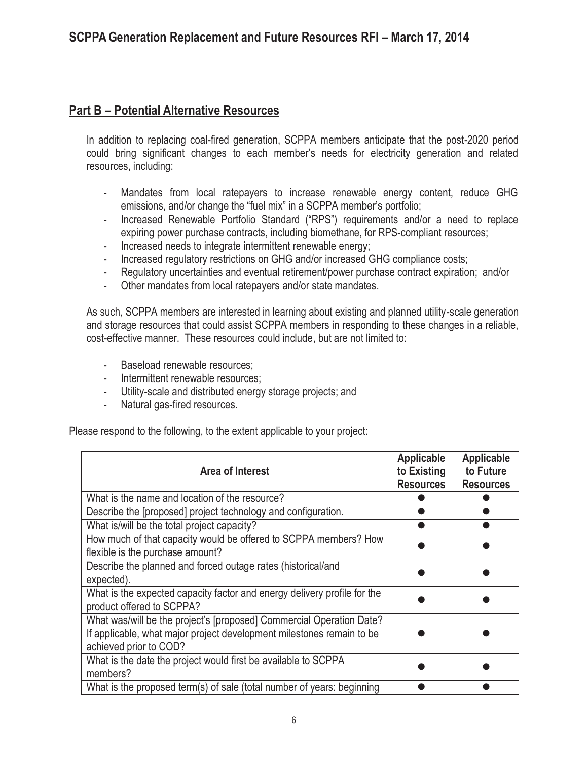## **Part B – Potential Alternative Resources**

In addition to replacing coal-fired generation, SCPPA members anticipate that the post-2020 period could bring significant changes to each member's needs for electricity generation and related resources, including:

- Mandates from local ratepayers to increase renewable energy content, reduce GHG emissions, and/or change the "fuel mix" in a SCPPA member's portfolio;
- Increased Renewable Portfolio Standard ("RPS") requirements and/or a need to replace expiring power purchase contracts, including biomethane, for RPS-compliant resources;
- Increased needs to integrate intermittent renewable energy;
- Increased regulatory restrictions on GHG and/or increased GHG compliance costs;
- Regulatory uncertainties and eventual retirement/power purchase contract expiration; and/or
- Other mandates from local ratepayers and/or state mandates.

As such, SCPPA members are interested in learning about existing and planned utility-scale generation and storage resources that could assist SCPPA members in responding to these changes in a reliable, cost-effective manner. These resources could include, but are not limited to:

- Baseload renewable resources;
- Intermittent renewable resources:
- Utility-scale and distributed energy storage projects; and
- Natural gas-fired resources.

Please respond to the following, to the extent applicable to your project:

| Area of Interest                                                                                                                                                        | <b>Applicable</b><br>to Existing<br><b>Resources</b> | Applicable<br>to Future<br><b>Resources</b> |
|-------------------------------------------------------------------------------------------------------------------------------------------------------------------------|------------------------------------------------------|---------------------------------------------|
| What is the name and location of the resource?                                                                                                                          |                                                      |                                             |
| Describe the [proposed] project technology and configuration.                                                                                                           |                                                      |                                             |
| What is/will be the total project capacity?                                                                                                                             |                                                      |                                             |
| How much of that capacity would be offered to SCPPA members? How<br>flexible is the purchase amount?                                                                    |                                                      |                                             |
| Describe the planned and forced outage rates (historical/and<br>expected).                                                                                              |                                                      |                                             |
| What is the expected capacity factor and energy delivery profile for the<br>product offered to SCPPA?                                                                   |                                                      |                                             |
| What was/will be the project's [proposed] Commercial Operation Date?<br>If applicable, what major project development milestones remain to be<br>achieved prior to COD? |                                                      |                                             |
| What is the date the project would first be available to SCPPA<br>members?                                                                                              |                                                      |                                             |
| What is the proposed term(s) of sale (total number of years: beginning                                                                                                  |                                                      |                                             |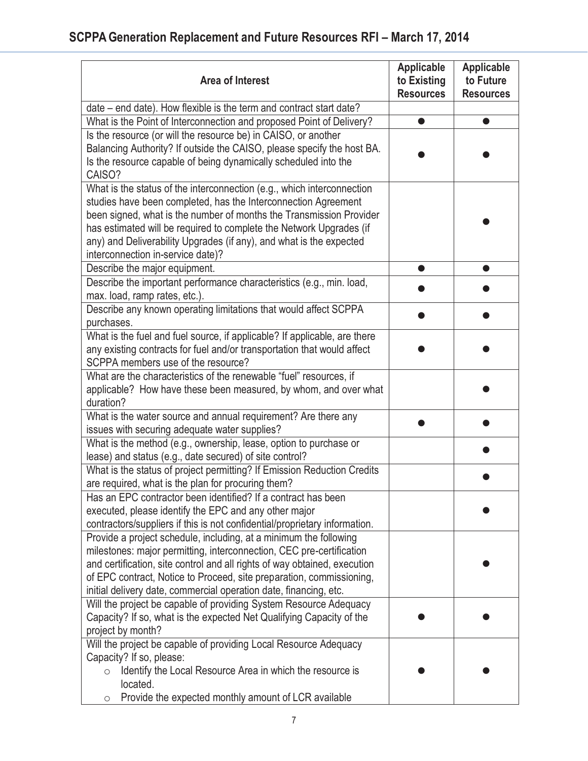| <b>Area of Interest</b>                                                                                                                                                                                                                                                                                                                                                                            | <b>Applicable</b><br>to Existing<br><b>Resources</b> | <b>Applicable</b><br>to Future<br><b>Resources</b> |
|----------------------------------------------------------------------------------------------------------------------------------------------------------------------------------------------------------------------------------------------------------------------------------------------------------------------------------------------------------------------------------------------------|------------------------------------------------------|----------------------------------------------------|
| date – end date). How flexible is the term and contract start date?                                                                                                                                                                                                                                                                                                                                |                                                      |                                                    |
| What is the Point of Interconnection and proposed Point of Delivery?                                                                                                                                                                                                                                                                                                                               |                                                      |                                                    |
| Is the resource (or will the resource be) in CAISO, or another<br>Balancing Authority? If outside the CAISO, please specify the host BA.<br>Is the resource capable of being dynamically scheduled into the<br>CAISO?                                                                                                                                                                              |                                                      |                                                    |
| What is the status of the interconnection (e.g., which interconnection<br>studies have been completed, has the Interconnection Agreement<br>been signed, what is the number of months the Transmission Provider<br>has estimated will be required to complete the Network Upgrades (if<br>any) and Deliverability Upgrades (if any), and what is the expected<br>interconnection in-service date)? |                                                      |                                                    |
| Describe the major equipment.                                                                                                                                                                                                                                                                                                                                                                      | O                                                    | $\bullet$                                          |
| Describe the important performance characteristics (e.g., min. load,<br>max. load, ramp rates, etc.).                                                                                                                                                                                                                                                                                              |                                                      |                                                    |
| Describe any known operating limitations that would affect SCPPA<br>purchases.                                                                                                                                                                                                                                                                                                                     |                                                      |                                                    |
| What is the fuel and fuel source, if applicable? If applicable, are there<br>any existing contracts for fuel and/or transportation that would affect<br>SCPPA members use of the resource?                                                                                                                                                                                                         |                                                      |                                                    |
| What are the characteristics of the renewable "fuel" resources, if<br>applicable? How have these been measured, by whom, and over what<br>duration?                                                                                                                                                                                                                                                |                                                      |                                                    |
| What is the water source and annual requirement? Are there any<br>issues with securing adequate water supplies?                                                                                                                                                                                                                                                                                    |                                                      |                                                    |
| What is the method (e.g., ownership, lease, option to purchase or<br>lease) and status (e.g., date secured) of site control?                                                                                                                                                                                                                                                                       |                                                      |                                                    |
| What is the status of project permitting? If Emission Reduction Credits<br>are required, what is the plan for procuring them?                                                                                                                                                                                                                                                                      |                                                      |                                                    |
| Has an EPC contractor been identified? If a contract has been<br>executed, please identify the EPC and any other major<br>contractors/suppliers if this is not confidential/proprietary information.                                                                                                                                                                                               |                                                      |                                                    |
| Provide a project schedule, including, at a minimum the following<br>milestones: major permitting, interconnection, CEC pre-certification<br>and certification, site control and all rights of way obtained, execution<br>of EPC contract, Notice to Proceed, site preparation, commissioning,<br>initial delivery date, commercial operation date, financing, etc.                                |                                                      |                                                    |
| Will the project be capable of providing System Resource Adequacy<br>Capacity? If so, what is the expected Net Qualifying Capacity of the<br>project by month?                                                                                                                                                                                                                                     |                                                      |                                                    |
| Will the project be capable of providing Local Resource Adequacy<br>Capacity? If so, please:<br>Identify the Local Resource Area in which the resource is<br>$\circ$<br>located.<br>Provide the expected monthly amount of LCR available<br>O                                                                                                                                                      |                                                      |                                                    |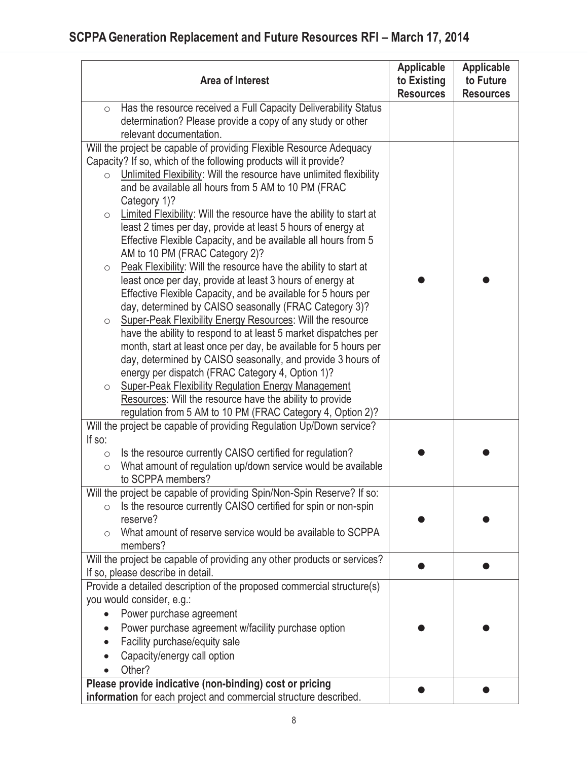| <b>Area of Interest</b>                                                                     | <b>Applicable</b><br>to Existing<br><b>Resources</b> | <b>Applicable</b><br>to Future<br><b>Resources</b> |  |
|---------------------------------------------------------------------------------------------|------------------------------------------------------|----------------------------------------------------|--|
| Has the resource received a Full Capacity Deliverability Status<br>$\circ$                  |                                                      |                                                    |  |
| determination? Please provide a copy of any study or other                                  |                                                      |                                                    |  |
| relevant documentation.                                                                     |                                                      |                                                    |  |
| Will the project be capable of providing Flexible Resource Adequacy                         |                                                      |                                                    |  |
| Capacity? If so, which of the following products will it provide?                           |                                                      |                                                    |  |
| Unlimited Flexibility: Will the resource have unlimited flexibility<br>$\bigcirc$           |                                                      |                                                    |  |
| and be available all hours from 5 AM to 10 PM (FRAC                                         |                                                      |                                                    |  |
| Category 1)?                                                                                |                                                      |                                                    |  |
| Limited Flexibility: Will the resource have the ability to start at<br>$\circ$              |                                                      |                                                    |  |
| least 2 times per day, provide at least 5 hours of energy at                                |                                                      |                                                    |  |
| Effective Flexible Capacity, and be available all hours from 5                              |                                                      |                                                    |  |
| AM to 10 PM (FRAC Category 2)?                                                              |                                                      |                                                    |  |
| Peak Flexibility: Will the resource have the ability to start at<br>$\circlearrowright$     |                                                      |                                                    |  |
| least once per day, provide at least 3 hours of energy at                                   |                                                      |                                                    |  |
| Effective Flexible Capacity, and be available for 5 hours per                               |                                                      |                                                    |  |
| day, determined by CAISO seasonally (FRAC Category 3)?                                      |                                                      |                                                    |  |
| Super-Peak Flexibility Energy Resources: Will the resource<br>$\circ$                       |                                                      |                                                    |  |
| have the ability to respond to at least 5 market dispatches per                             |                                                      |                                                    |  |
| month, start at least once per day, be available for 5 hours per                            |                                                      |                                                    |  |
| day, determined by CAISO seasonally, and provide 3 hours of                                 |                                                      |                                                    |  |
| energy per dispatch (FRAC Category 4, Option 1)?                                            |                                                      |                                                    |  |
| <b>Super-Peak Flexibility Regulation Energy Management</b><br>$\circlearrowright$           |                                                      |                                                    |  |
| Resources: Will the resource have the ability to provide                                    |                                                      |                                                    |  |
| regulation from 5 AM to 10 PM (FRAC Category 4, Option 2)?                                  |                                                      |                                                    |  |
| Will the project be capable of providing Regulation Up/Down service?                        |                                                      |                                                    |  |
| If so:                                                                                      |                                                      |                                                    |  |
| Is the resource currently CAISO certified for regulation?<br>$\bigcirc$                     |                                                      |                                                    |  |
| What amount of regulation up/down service would be available<br>$\bigcirc$                  |                                                      |                                                    |  |
| to SCPPA members?<br>Will the project be capable of providing Spin/Non-Spin Reserve? If so: |                                                      |                                                    |  |
| Is the resource currently CAISO certified for spin or non-spin<br>$\bigcirc$                |                                                      |                                                    |  |
| reserve?                                                                                    |                                                      |                                                    |  |
| What amount of reserve service would be available to SCPPA<br>$\bigcirc$                    |                                                      |                                                    |  |
| members?                                                                                    |                                                      |                                                    |  |
| Will the project be capable of providing any other products or services?                    |                                                      |                                                    |  |
| If so, please describe in detail.                                                           |                                                      |                                                    |  |
| Provide a detailed description of the proposed commercial structure(s)                      |                                                      |                                                    |  |
| you would consider, e.g.:                                                                   |                                                      |                                                    |  |
| Power purchase agreement                                                                    |                                                      |                                                    |  |
| Power purchase agreement w/facility purchase option                                         |                                                      |                                                    |  |
| Facility purchase/equity sale                                                               |                                                      |                                                    |  |
| Capacity/energy call option                                                                 |                                                      |                                                    |  |
| Other?                                                                                      |                                                      |                                                    |  |
| Please provide indicative (non-binding) cost or pricing                                     |                                                      |                                                    |  |
| information for each project and commercial structure described.                            |                                                      |                                                    |  |
|                                                                                             |                                                      |                                                    |  |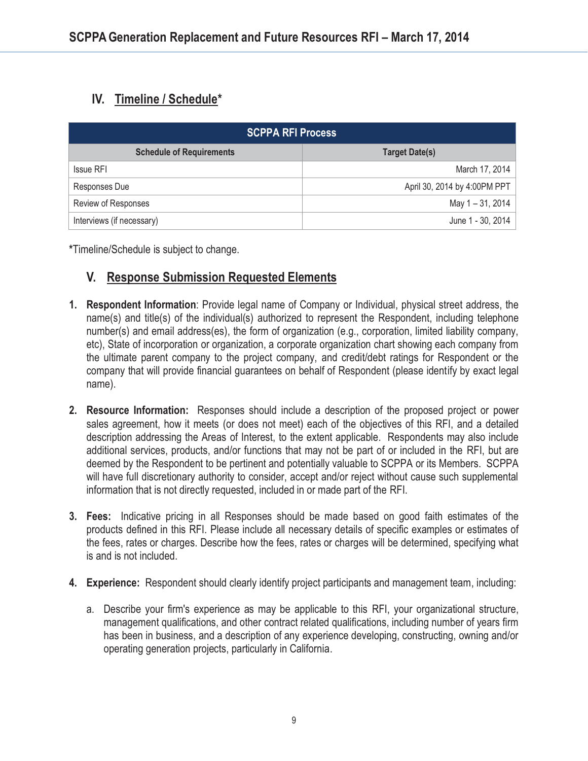# **IV. Timeline / Schedule\***

| <b>SCPPA RFI Process</b>        |                              |  |
|---------------------------------|------------------------------|--|
| <b>Schedule of Requirements</b> | <b>Target Date(s)</b>        |  |
| Issue RFI                       | March 17, 2014               |  |
| Responses Due                   | April 30, 2014 by 4:00PM PPT |  |
| Review of Responses             | May 1 – 31, 2014             |  |
| Interviews (if necessary)       | June 1 - 30, 2014            |  |

**\***Timeline/Schedule is subject to change.

# **V. Response Submission Requested Elements**

- **1. Respondent Information**: Provide legal name of Company or Individual, physical street address, the name(s) and title(s) of the individual(s) authorized to represent the Respondent, including telephone number(s) and email address(es), the form of organization (e.g., corporation, limited liability company, etc), State of incorporation or organization, a corporate organization chart showing each company from the ultimate parent company to the project company, and credit/debt ratings for Respondent or the company that will provide financial guarantees on behalf of Respondent (please identify by exact legal name).
- **2. Resource Information:** Responses should include a description of the proposed project or power sales agreement, how it meets (or does not meet) each of the objectives of this RFI, and a detailed description addressing the Areas of Interest, to the extent applicable. Respondents may also include additional services, products, and/or functions that may not be part of or included in the RFI, but are deemed by the Respondent to be pertinent and potentially valuable to SCPPA or its Members. SCPPA will have full discretionary authority to consider, accept and/or reject without cause such supplemental information that is not directly requested, included in or made part of the RFI.
- **3. Fees:** Indicative pricing in all Responses should be made based on good faith estimates of the products defined in this RFI. Please include all necessary details of specific examples or estimates of the fees, rates or charges. Describe how the fees, rates or charges will be determined, specifying what is and is not included.
- **4. Experience:** Respondent should clearly identify project participants and management team, including:
	- a. Describe your firm's experience as may be applicable to this RFI, your organizational structure, management qualifications, and other contract related qualifications, including number of years firm has been in business, and a description of any experience developing, constructing, owning and/or operating generation projects, particularly in California.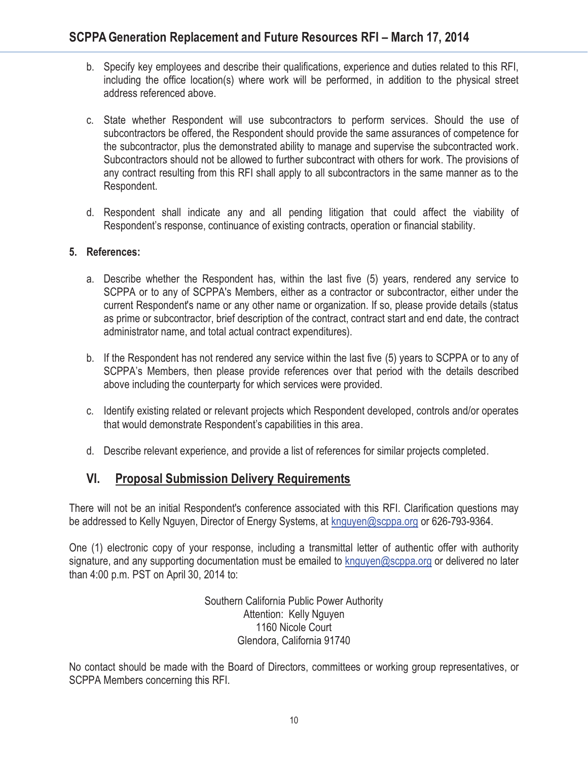- b. Specify key employees and describe their qualifications, experience and duties related to this RFI, including the office location(s) where work will be performed, in addition to the physical street address referenced above.
- c. State whether Respondent will use subcontractors to perform services. Should the use of subcontractors be offered, the Respondent should provide the same assurances of competence for the subcontractor, plus the demonstrated ability to manage and supervise the subcontracted work. Subcontractors should not be allowed to further subcontract with others for work. The provisions of any contract resulting from this RFI shall apply to all subcontractors in the same manner as to the Respondent.
- d. Respondent shall indicate any and all pending litigation that could affect the viability of Respondent's response, continuance of existing contracts, operation or financial stability.

#### **5. References:**

- a. Describe whether the Respondent has, within the last five (5) years, rendered any service to SCPPA or to any of SCPPA's Members, either as a contractor or subcontractor, either under the current Respondent's name or any other name or organization. If so, please provide details (status as prime or subcontractor, brief description of the contract, contract start and end date, the contract administrator name, and total actual contract expenditures).
- b. If the Respondent has not rendered any service within the last five (5) years to SCPPA or to any of SCPPA's Members, then please provide references over that period with the details described above including the counterparty for which services were provided.
- c. Identify existing related or relevant projects which Respondent developed, controls and/or operates that would demonstrate Respondent's capabilities in this area.
- d. Describe relevant experience, and provide a list of references for similar projects completed.

## **VI. Proposal Submission Delivery Requirements**

There will not be an initial Respondent's conference associated with this RFI. Clarification questions may be addressed to Kelly Nguyen, Director of Energy Systems, at knguyen@scppa.org or 626-793-9364.

One (1) electronic copy of your response, including a transmittal letter of authentic offer with authority signature, and any supporting documentation must be emailed to knguyen@scppa.org or delivered no later than 4:00 p.m. PST on April 30, 2014 to:

> Southern California Public Power Authority Attention: Kelly Nguyen 1160 Nicole Court Glendora, California 91740

No contact should be made with the Board of Directors, committees or working group representatives, or SCPPA Members concerning this RFI.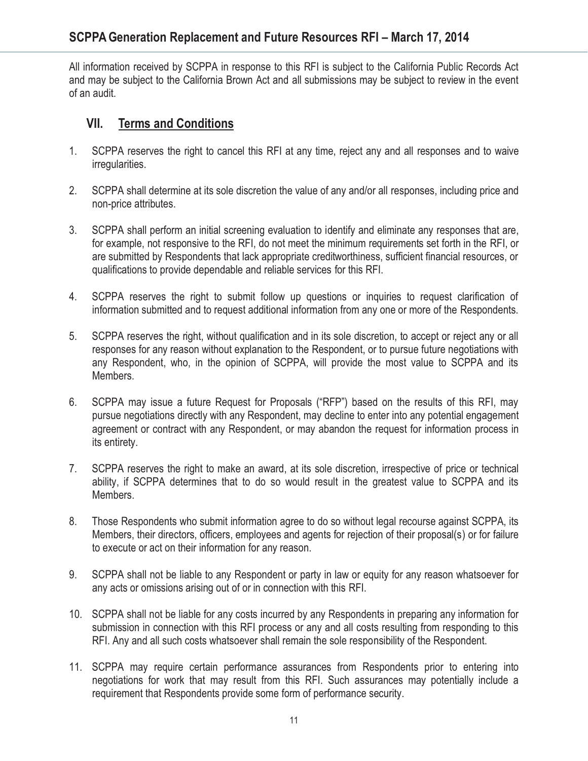All information received by SCPPA in response to this RFI is subject to the California Public Records Act and may be subject to the California Brown Act and all submissions may be subject to review in the event of an audit.

## **VII. Terms and Conditions**

- 1. SCPPA reserves the right to cancel this RFI at any time, reject any and all responses and to waive irregularities.
- 2. SCPPA shall determine at its sole discretion the value of any and/or all responses, including price and non-price attributes.
- 3. SCPPA shall perform an initial screening evaluation to identify and eliminate any responses that are, for example, not responsive to the RFI, do not meet the minimum requirements set forth in the RFI, or are submitted by Respondents that lack appropriate creditworthiness, sufficient financial resources, or qualifications to provide dependable and reliable services for this RFI.
- 4. SCPPA reserves the right to submit follow up questions or inquiries to request clarification of information submitted and to request additional information from any one or more of the Respondents.
- 5. SCPPA reserves the right, without qualification and in its sole discretion, to accept or reject any or all responses for any reason without explanation to the Respondent, or to pursue future negotiations with any Respondent, who, in the opinion of SCPPA, will provide the most value to SCPPA and its Members.
- 6. SCPPA may issue a future Request for Proposals ("RFP") based on the results of this RFI, may pursue negotiations directly with any Respondent, may decline to enter into any potential engagement agreement or contract with any Respondent, or may abandon the request for information process in its entirety.
- 7. SCPPA reserves the right to make an award, at its sole discretion, irrespective of price or technical ability, if SCPPA determines that to do so would result in the greatest value to SCPPA and its Members.
- 8. Those Respondents who submit information agree to do so without legal recourse against SCPPA, its Members, their directors, officers, employees and agents for rejection of their proposal(s) or for failure to execute or act on their information for any reason.
- 9. SCPPA shall not be liable to any Respondent or party in law or equity for any reason whatsoever for any acts or omissions arising out of or in connection with this RFI.
- 10. SCPPA shall not be liable for any costs incurred by any Respondents in preparing any information for submission in connection with this RFI process or any and all costs resulting from responding to this RFI. Any and all such costs whatsoever shall remain the sole responsibility of the Respondent.
- 11. SCPPA may require certain performance assurances from Respondents prior to entering into negotiations for work that may result from this RFI. Such assurances may potentially include a requirement that Respondents provide some form of performance security.